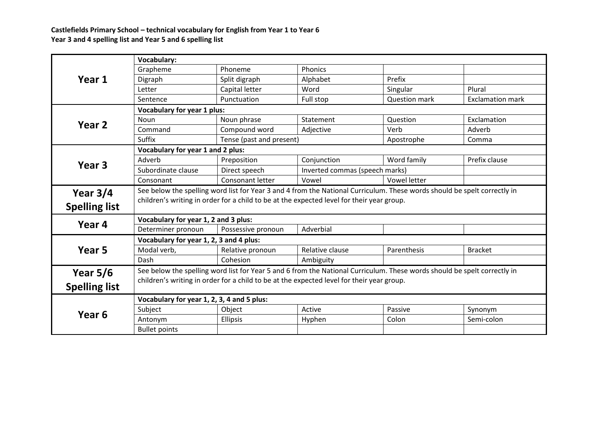**Castlefields Primary School – technical vocabulary for English from Year 1 to Year 6 Year 3 and 4 spelling list and Year 5 and 6 spelling list**

| Year 1               | <b>Vocabulary:</b>                                                                                                       |                          |                                |                      |                         |  |  |
|----------------------|--------------------------------------------------------------------------------------------------------------------------|--------------------------|--------------------------------|----------------------|-------------------------|--|--|
|                      | Grapheme                                                                                                                 | Phoneme                  | Phonics                        |                      |                         |  |  |
|                      | Digraph                                                                                                                  | Split digraph            | Alphabet                       | Prefix               |                         |  |  |
|                      | Letter                                                                                                                   | Capital letter           | Word                           | Singular             | Plural                  |  |  |
|                      | Sentence                                                                                                                 | Punctuation              | Full stop                      | <b>Question mark</b> | <b>Exclamation mark</b> |  |  |
| Year 2               | <b>Vocabulary for year 1 plus:</b>                                                                                       |                          |                                |                      |                         |  |  |
|                      | <b>Noun</b>                                                                                                              | Noun phrase              | Statement                      | Question             | Exclamation             |  |  |
|                      | Command                                                                                                                  | Compound word            | Adjective                      | Verb                 | Adverb                  |  |  |
|                      | Suffix                                                                                                                   | Tense (past and present) |                                | Apostrophe           | Comma                   |  |  |
| Year <sub>3</sub>    | Vocabulary for year 1 and 2 plus:                                                                                        |                          |                                |                      |                         |  |  |
|                      | Adverb                                                                                                                   | Preposition              | Conjunction                    | Word family          | Prefix clause           |  |  |
|                      | Subordinate clause                                                                                                       | Direct speech            | Inverted commas (speech marks) |                      |                         |  |  |
|                      | Consonant                                                                                                                | Consonant letter         | Vowel                          | Vowel letter         |                         |  |  |
| Year $3/4$           | See below the spelling word list for Year 3 and 4 from the National Curriculum. These words should be spelt correctly in |                          |                                |                      |                         |  |  |
|                      | children's writing in order for a child to be at the expected level for their year group.                                |                          |                                |                      |                         |  |  |
| <b>Spelling list</b> |                                                                                                                          |                          |                                |                      |                         |  |  |
| Year 4               | Vocabulary for year 1, 2 and 3 plus:                                                                                     |                          |                                |                      |                         |  |  |
|                      | Determiner pronoun                                                                                                       | Possessive pronoun       | Adverbial                      |                      |                         |  |  |
| Year 5               | Vocabulary for year 1, 2, 3 and 4 plus:                                                                                  |                          |                                |                      |                         |  |  |
|                      | Modal verb,                                                                                                              | Relative pronoun         | Relative clause                | Parenthesis          | <b>Bracket</b>          |  |  |
|                      | Dash                                                                                                                     | Cohesion                 | Ambiguity                      |                      |                         |  |  |
| Year $5/6$           | See below the spelling word list for Year 5 and 6 from the National Curriculum. These words should be spelt correctly in |                          |                                |                      |                         |  |  |
|                      | children's writing in order for a child to be at the expected level for their year group.                                |                          |                                |                      |                         |  |  |
| <b>Spelling list</b> |                                                                                                                          |                          |                                |                      |                         |  |  |
| Year <sub>6</sub>    | Vocabulary for year 1, 2, 3, 4 and 5 plus:                                                                               |                          |                                |                      |                         |  |  |
|                      | Subject                                                                                                                  | Object                   | Active                         | Passive              | Synonym                 |  |  |
|                      | Antonym                                                                                                                  | <b>Ellipsis</b>          | Hyphen                         | Colon                | Semi-colon              |  |  |
|                      | <b>Bullet points</b>                                                                                                     |                          |                                |                      |                         |  |  |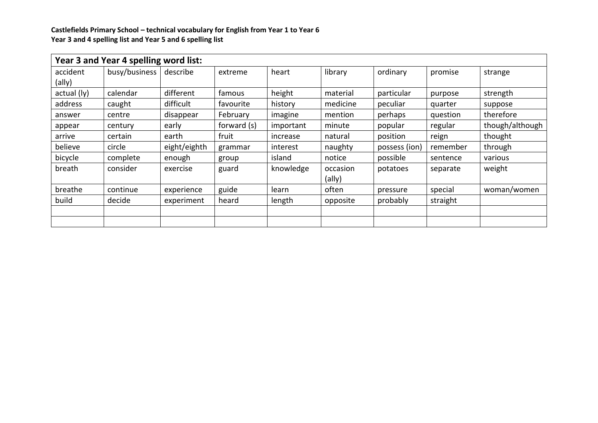## **Castlefields Primary School – technical vocabulary for English from Year 1 to Year 6 Year 3 and 4 spelling list and Year 5 and 6 spelling list**

| Year 3 and Year 4 spelling word list: |               |              |             |           |          |               |          |                 |
|---------------------------------------|---------------|--------------|-------------|-----------|----------|---------------|----------|-----------------|
| accident                              | busy/business | describe     | extreme     | heart     | library  | ordinary      | promise  | strange         |
| (ally)                                |               |              |             |           |          |               |          |                 |
| actual (ly)                           | calendar      | different    | famous      | height    | material | particular    | purpose  | strength        |
| address                               | caught        | difficult    | favourite   | history   | medicine | peculiar      | quarter  | suppose         |
| answer                                | centre        | disappear    | February    | imagine   | mention  | perhaps       | question | therefore       |
| appear                                | century       | early        | forward (s) | important | minute   | popular       | regular  | though/although |
| arrive                                | certain       | earth        | fruit       | increase  | natural  | position      | reign    | thought         |
| believe                               | circle        | eight/eighth | grammar     | interest  | naughty  | possess (ion) | remember | through         |
| bicycle                               | complete      | enough       | group       | island    | notice   | possible      | sentence | various         |
| breath                                | consider      | exercise     | guard       | knowledge | occasion | potatoes      | separate | weight          |
|                                       |               |              |             |           | (ally)   |               |          |                 |
| breathe                               | continue      | experience   | guide       | learn     | often    | pressure      | special  | woman/women     |
| build                                 | decide        | experiment   | heard       | length    | opposite | probably      | straight |                 |
|                                       |               |              |             |           |          |               |          |                 |
|                                       |               |              |             |           |          |               |          |                 |